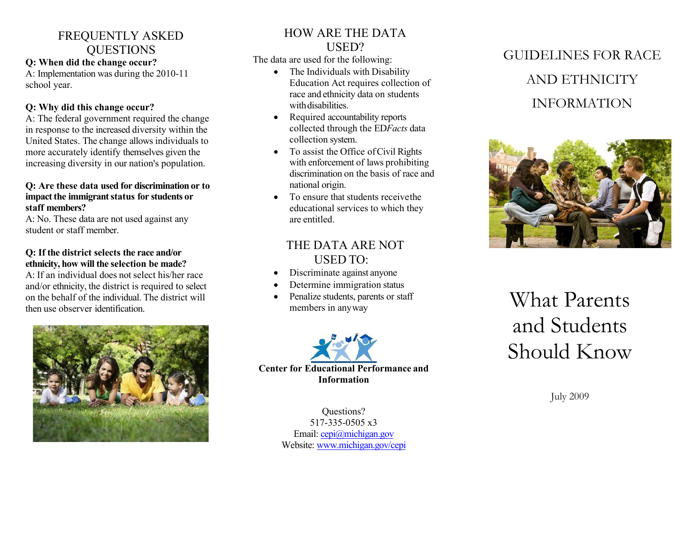## FREQUENTLY ASKED **OUESTIONS**

### **Q: When did the change occur?**

A: Implementation was during the 2010-11 school year.

### **Q: Why did this change occur?**

A: The federal government required the change in response to the increased diversity within the United States. The change allows individuals to more accurately identify themselves given the increasing diversity in our nation's population.

### **Q: Are these data used for discrimination or to impact the immigrant status for students or staff members?**

A: No. These data are not used against any student or staff member.

### **Q: If the district selects the race and/or ethnicity, how will the selection be made?**

A: If an individual does not select his/her race and/or ethnicity, the district is required to select on the behalf of the individual. The district will then use observer identification.



### HOW ARE THE DATA USED?

The data are used for the following:

- The Individuals with Disability Education Act requires collection of race and ethnicity data on students with disabilities.
- Required accountability reports collected through the ED*Facts* data collection system.
- To assist the Office of Civil Rights with enforcement of laws prohibiting discrimination on the basis of race and national origin.
- To ensure that students receive the educational services to which they are entitled.

## THE DATA ARE NOT USED TO:

- Discriminate against anyone
- Determine immigration status
- Penalize students, parents or staff members in anyway



Questions? 517-335-0505 x3 Email[: cepi@michigan.gov](mailto:cepi@michigan.gov) Website: [www.michigan.gov/cepi](https://www.michigan.gov/cepi)

## GUIDELINES FOR RACE AND ETHNICITY INFORMATION



# What Parents and Students Should Know

July 2009